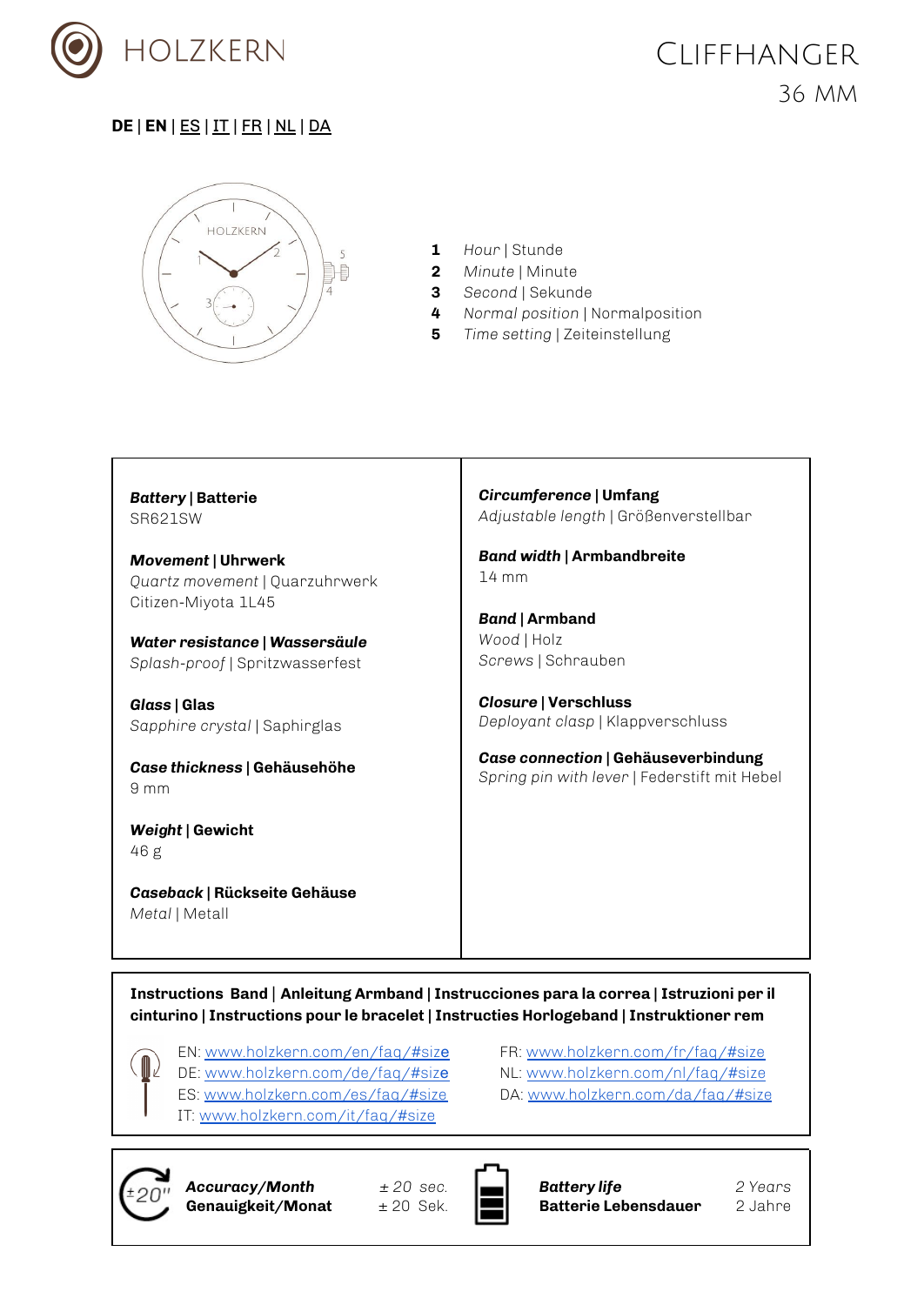

### <span id="page-0-0"></span>**DE** | **[EN](#page-0-0)** | [ES](#page-2-0) | IT | FR | [NL](#page-4-0) | [DA](#page-6-0)



- **1** *Hour* | Stunde
- **2** *Minute* | Minute
- **3** *Second* | Sekunde
- **4** *Normal position* | Normalposition
- **5** *Time setting* | Zeiteinstellung

| <b>Battery   Batterie</b>                      | Circumference   Umfang                       |
|------------------------------------------------|----------------------------------------------|
| SR621SW                                        | Adjustable length   Größenverstellbar        |
| <b>Movement   Uhrwerk</b>                      | <b>Band width   Armbandbreite</b>            |
| Quartz movement   Quarzuhrwerk                 | $14 \text{ mm}$                              |
| Citizen-Miyota 1L45                            | <b>Band   Armband</b>                        |
| Water resistance   Wassersäule                 | Wood   Holz                                  |
| Splash-proof   Spritzwasserfest                | Screws   Schrauben                           |
| Glass   Glas                                   | <b>Closure   Verschluss</b>                  |
| Sapphire crystal   Saphirglas                  | Deployant clasp   Klappverschluss            |
| Case thickness   Gehäusehöhe                   | Case connection   Gehäuseverbindung          |
| $9 \text{ mm}$                                 | Spring pin with lever   Federstift mit Hebel |
| Weight   Gewicht<br>46g                        |                                              |
| Caseback   Rückseite Gehäuse<br>Metal   Metall |                                              |

**Instructions Band** | **Anleitung Armband | Instrucciones para la correa | Istruzioni per il cinturino | Instructions pour le bracelet | Instructies Horlogeband | Instruktioner rem**

EN: [www.holzkern.com/en/faq/#siz](https://www.holzkern.com/en/faq/#size)e

- DE: [www.holzkern.com/de/faq/#siz](https://www.holzkern.com/faq/#size)e
- ES: [www.holzkern.com/es/faq/#size](https://www.holzkern.com/es/faq/#size)
- IT: [www.holzkern.com/it/faq/#size](https://www.holzkern.com/it/faq/#size)

FR: [www.holzkern.com/fr/faq/#size](http://www.holzkern.com/fr/faq/#size) NL: [www.holzkern.com/nl/faq/#size](http://www.holzkern.com/nl/faq/#size) DA: [www.holzkern.com/da/faq/#size](http://www.holzkern.com/da/faq/#size)



*Accuracy/Month ± 20 sec.* **Genauigkeit/Monat** 



*Battery life 2 Years* **Batterie Lebensdauer** 2 Jahre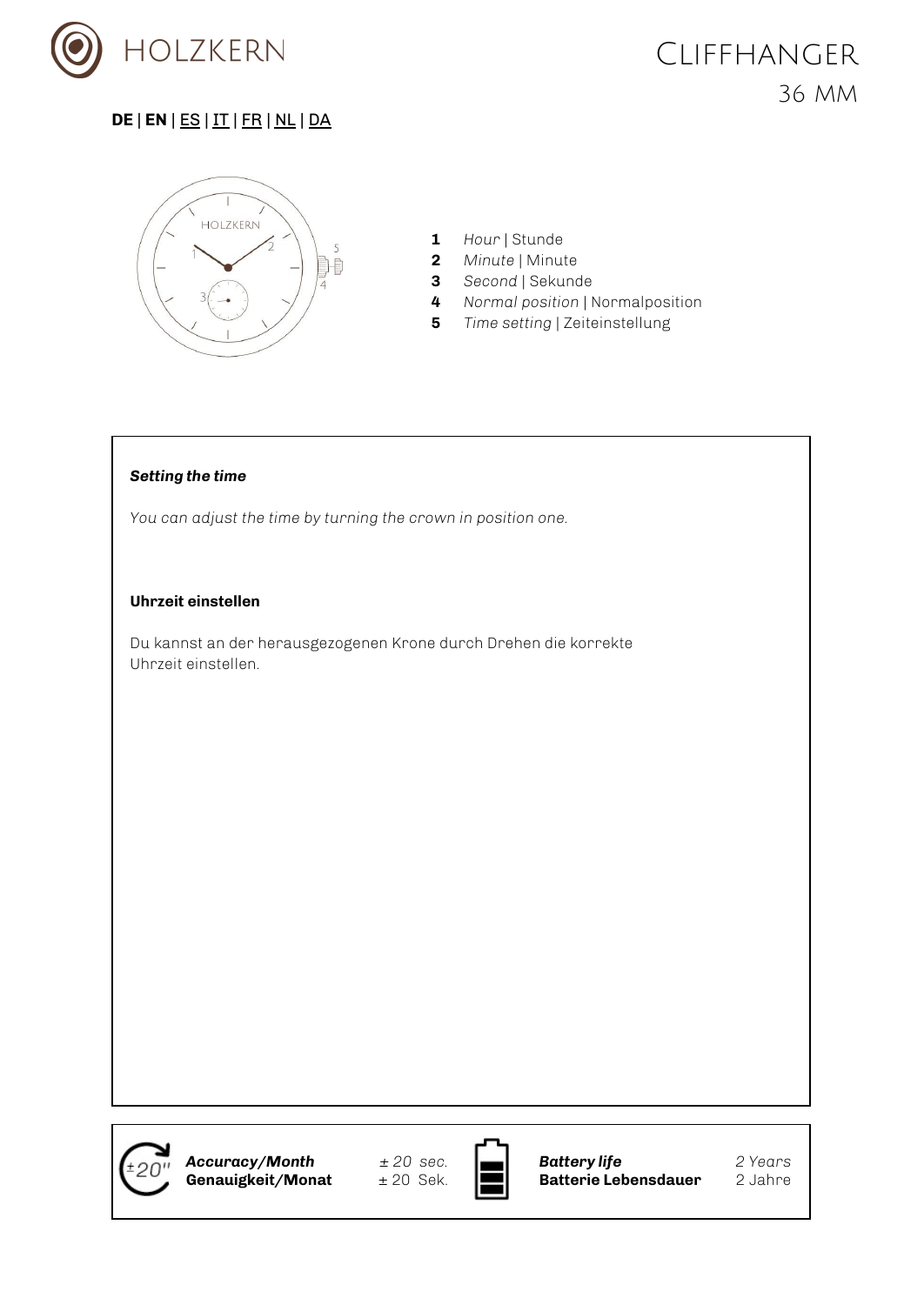

# **CLIFFHANGER** 36 MM

### **DE** | **EN** | [ES](#page-2-0) | IT | FR | [NL](#page-4-0) | [DA](#page-6-0)



- **1** *Hour* | Stunde
- **2** *Minute* | Minute
- **3** *Second* | Sekunde
- **4** *Normal position* | Normalposition
- **5** *Time setting* | Zeiteinstellung

#### *Setting the time*

*You can adjust the time by turning the crown in position one.*

#### **Uhrzeit einstellen**

Du kannst an der herausgezogenen Krone durch Drehen die korrekte Uhrzeit einstellen.

*Accuracy/Month ± 20 sec.* Genauigkeit/Monat



*Battery life 2 Years* **Batterie Lebensdauer**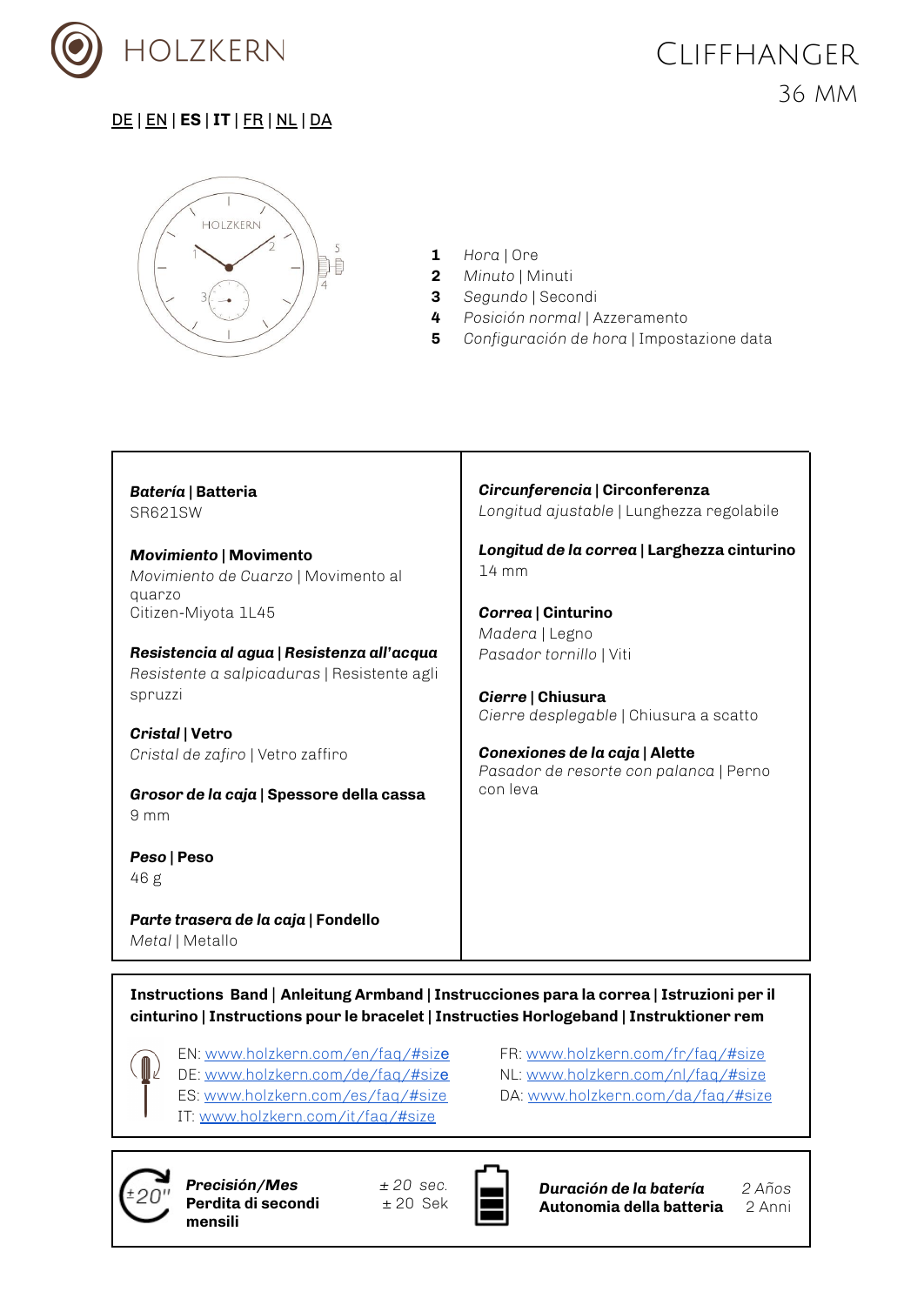

## **CLIFFHANGER** 36 MM

### <span id="page-2-0"></span>DE | [EN](#page-0-0) | **[ES](#page-2-0)** | **IT** | FR | [NL](#page-4-0) | [DA](#page-6-0)



- **1** *Hora* | Ore
- **2** *Minuto* | Minuti
- **3** *Segundo* | Secondi
- **4** *Posición normal* | Azzeramento
- **5** *Configuración de hora* | Impostazione data

| Batería   Batteria<br>SR621SW                                                             | Circunferencia   Circonferenza<br>Longitud ajustable   Lunghezza regolabile |
|-------------------------------------------------------------------------------------------|-----------------------------------------------------------------------------|
| <b>Movimiento   Movimento</b><br>Movimiento de Cuarzo   Movimento al                      | Longitud de la correa   Larghezza cinturino<br>$14 \text{ mm}$              |
| quarzo<br>Citizen-Miyota 1L45                                                             | Correa   Cinturino<br>Madera   Legno                                        |
| Resistencia al agua   Resistenza all'acqua<br>Resistente a salpicaduras   Resistente agli | Pasador tornillo   Viti                                                     |
| spruzzi                                                                                   | Cierre   Chiusura<br>Cierre desplegable   Chiusura a scatto                 |
| Cristal   Vetro<br>Cristal de zafiro   Vetro zaffiro                                      | Conexiones de la caja   Alette<br>Pasador de resorte con palanca   Perno    |
| Grosor de la caja   Spessore della cassa<br>9 <sub>mm</sub>                               | con leva                                                                    |
| Peso   Peso<br>46g                                                                        |                                                                             |
| Parte trasera de la caja   Fondello<br>Metal   Metallo                                    |                                                                             |

**Instructions Band** | **Anleitung Armband | Instrucciones para la correa | Istruzioni per il cinturino | Instructions pour le bracelet | Instructies Horlogeband | Instruktioner rem**

EN: [www.holzkern.com/en/faq/#siz](https://www.holzkern.com/en/faq/#size)e

- DE: [www.holzkern.com/de/faq/#siz](https://www.holzkern.com/faq/#size)e
- ES: [www.holzkern.com/es/faq/#size](https://www.holzkern.com/es/faq/#size)
- IT: [www.holzkern.com/it/faq/#size](https://www.holzkern.com/it/faq/#size)
- FR: [www.holzkern.com/fr/faq/#size](http://www.holzkern.com/fr/faq/#size) NL: [www.holzkern.com/nl/faq/#size](http://www.holzkern.com/nl/faq/#size) DA: [www.holzkern.com/da/faq/#size](http://www.holzkern.com/da/faq/#size)



*Precisión/Mes ± 20 sec.* **Perdita di secondi** ± 20 Sek **mensili**



*Duración de la batería 2 Años* **Autonomia della batteria** 2 Anni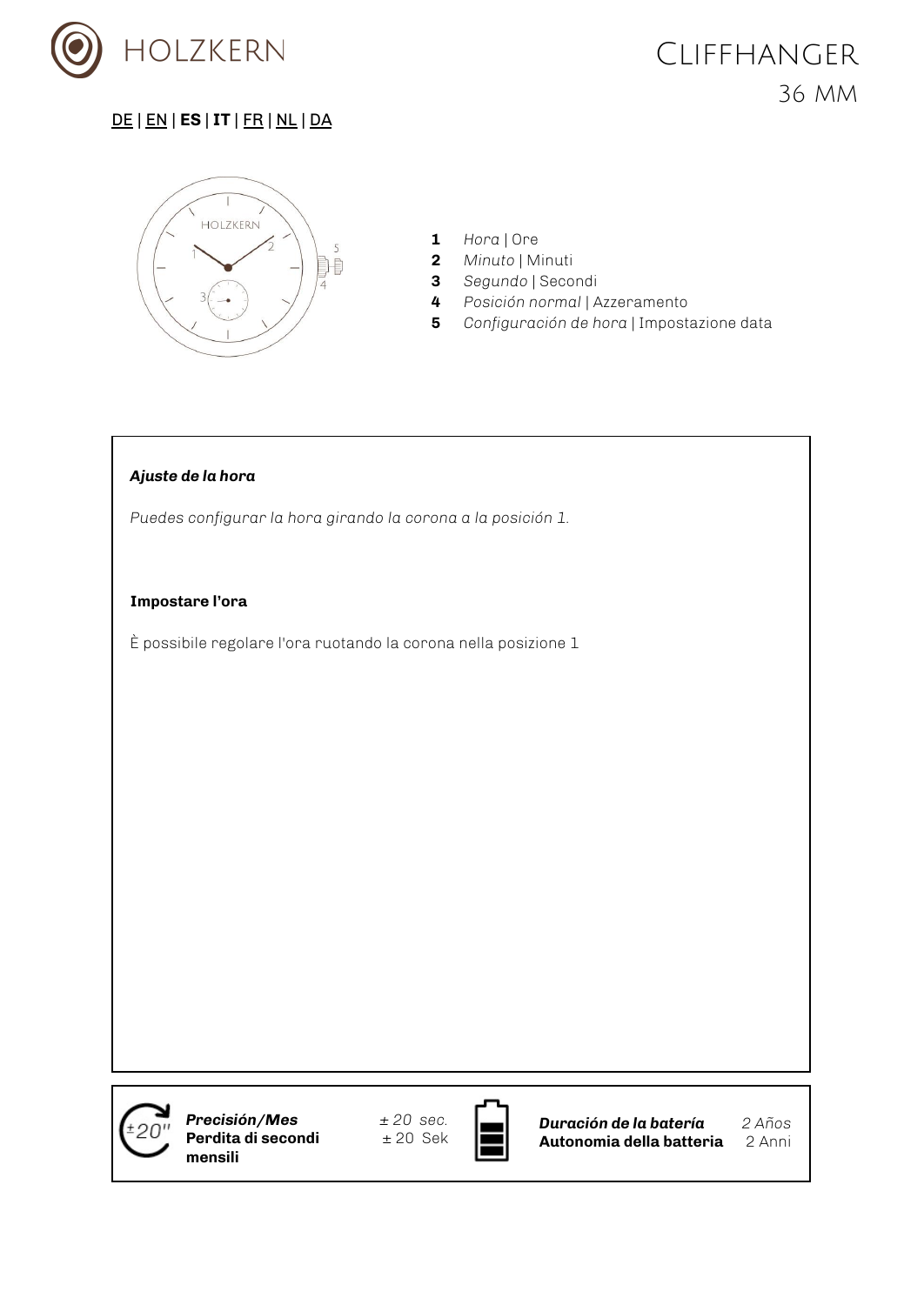

### DE | [EN](#page-0-0) | **[ES](#page-2-0)** | **IT** | FR | [NL](#page-4-0) | [DA](#page-6-0)



- **1** *Hora* | Ore
- **2** *Minuto* | Minuti
- **3** *Segundo* | Secondi
- **4** *Posición normal* | Azzeramento
- **5** *Configuración de hora* | Impostazione data

#### *Ajuste de la hora*

*Puedes configurar la hora girando la corona a la posición 1.*

#### **Impostare l'ora**

È possibile regolare l'ora ruotando la corona nella posizione 1



*Precisión/Mes ± 20 sec.* **Perdita di secondi** ± 20 Sek **mensili**



*Duración de la batería 2 Años* **Autonomia della batteria** 2 Anni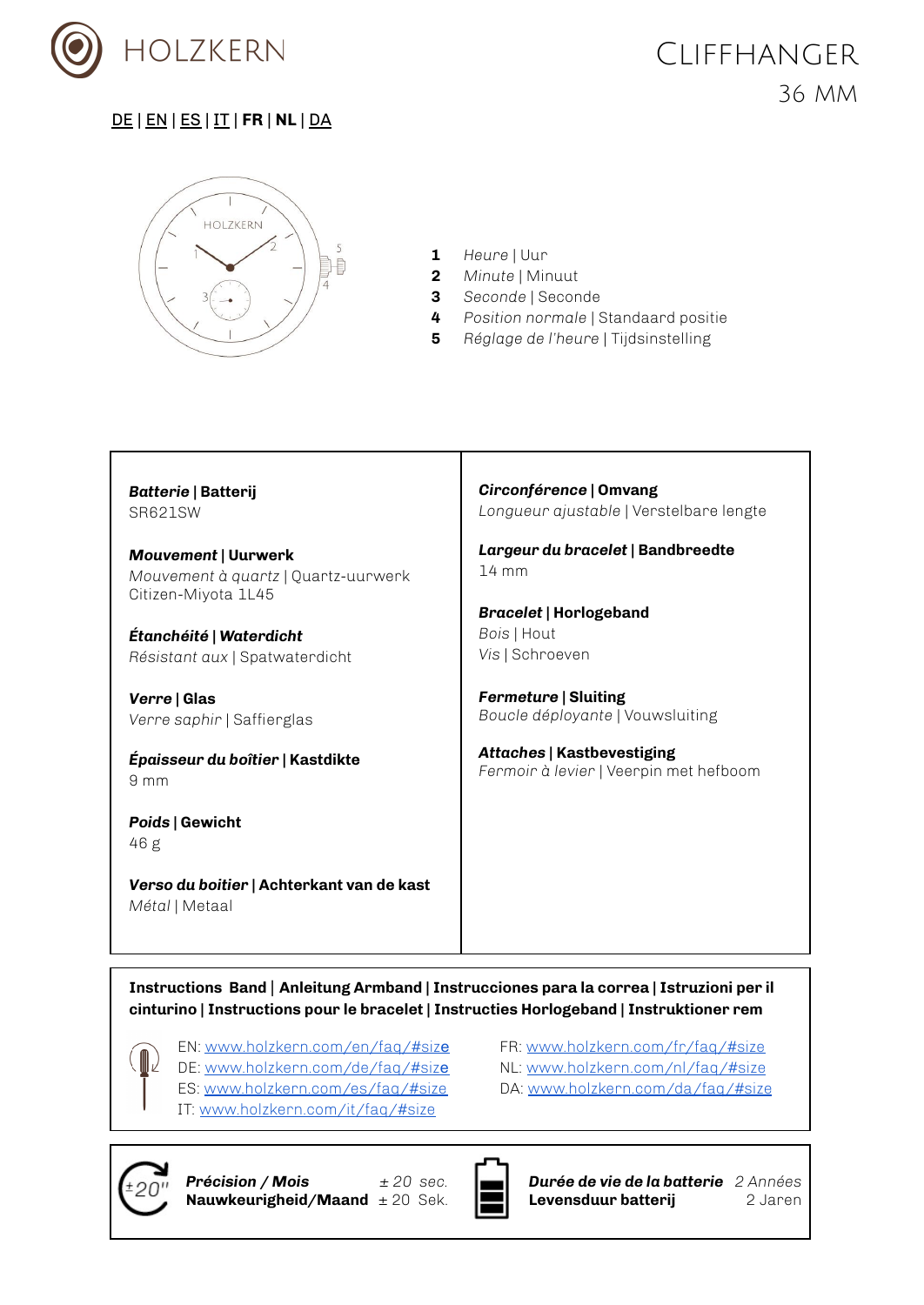

### <span id="page-4-0"></span>DE | [EN](#page-0-0) | [ES](#page-2-0) | IT | **[FR](#page-4-0)** | **NL** | [DA](#page-6-0)



- **1** *Heure* | Uur
- **2** *Minute* | Minuut
- **3** *Seconde* | Seconde
- **4** *Position normale* | Standaard positie
- **5** *Réglage de l'heure* | Tijdsinstelling

| Batterie   Batterij<br>SR621SW                                                           | Circonférence   Omvang<br>Longueur ajustable   Verstelbare lengte           |
|------------------------------------------------------------------------------------------|-----------------------------------------------------------------------------|
| <b>Mouvement   Uurwerk</b><br>Mouvement à quartz   Quartz-uurwerk<br>Citizen-Miyota 1L45 | Largeur du bracelet   Bandbreedte<br>$14 \text{ mm}$                        |
| Étanchéité   Waterdicht<br>Résistant aux   Spatwaterdicht                                | <b>Bracelet   Horlogeband</b><br>Bois   Hout<br>Vis   Schroeven             |
| Verre   Glas<br>Verre saphir   Saffierglas                                               | <b>Fermeture   Sluiting</b><br>Boucle déployante   Vouwsluiting             |
| Épaisseur du boîtier   Kastdikte<br>9 <sub>mm</sub>                                      | <b>Attaches   Kastbevestiging</b><br>Fermoir à levier   Veerpin met hefboom |
| Poids   Gewicht<br>46g                                                                   |                                                                             |
| Verso du boitier   Achterkant van de kast<br>Métal   Metaal                              |                                                                             |

**Instructions Band** | **Anleitung Armband | Instrucciones para la correa | Istruzioni per il cinturino | Instructions pour le bracelet | Instructies Horlogeband | Instruktioner rem**

EN: [www.holzkern.com/en/faq/#siz](https://www.holzkern.com/en/faq/#size)e

- DE: [www.holzkern.com/de/faq/#siz](https://www.holzkern.com/faq/#size)e
- ES: [www.holzkern.com/es/faq/#size](https://www.holzkern.com/es/faq/#size)
- IT: [www.holzkern.com/it/faq/#size](https://www.holzkern.com/it/faq/#size)
- FR: [www.holzkern.com/fr/faq/#size](http://www.holzkern.com/fr/faq/#size)
- NL: [www.holzkern.com/nl/faq/#size](http://www.holzkern.com/nl/faq/#size)
- DA: [www.holzkern.com/da/faq/#size](http://www.holzkern.com/da/faq/#size)



*Précision / Mois ± 20 sec.* **Nauwkeurigheid/Maand** ± 20 Sek.



*Durée de vie de la batterie 2 Années* **Levensduur batterij** 2 Jaren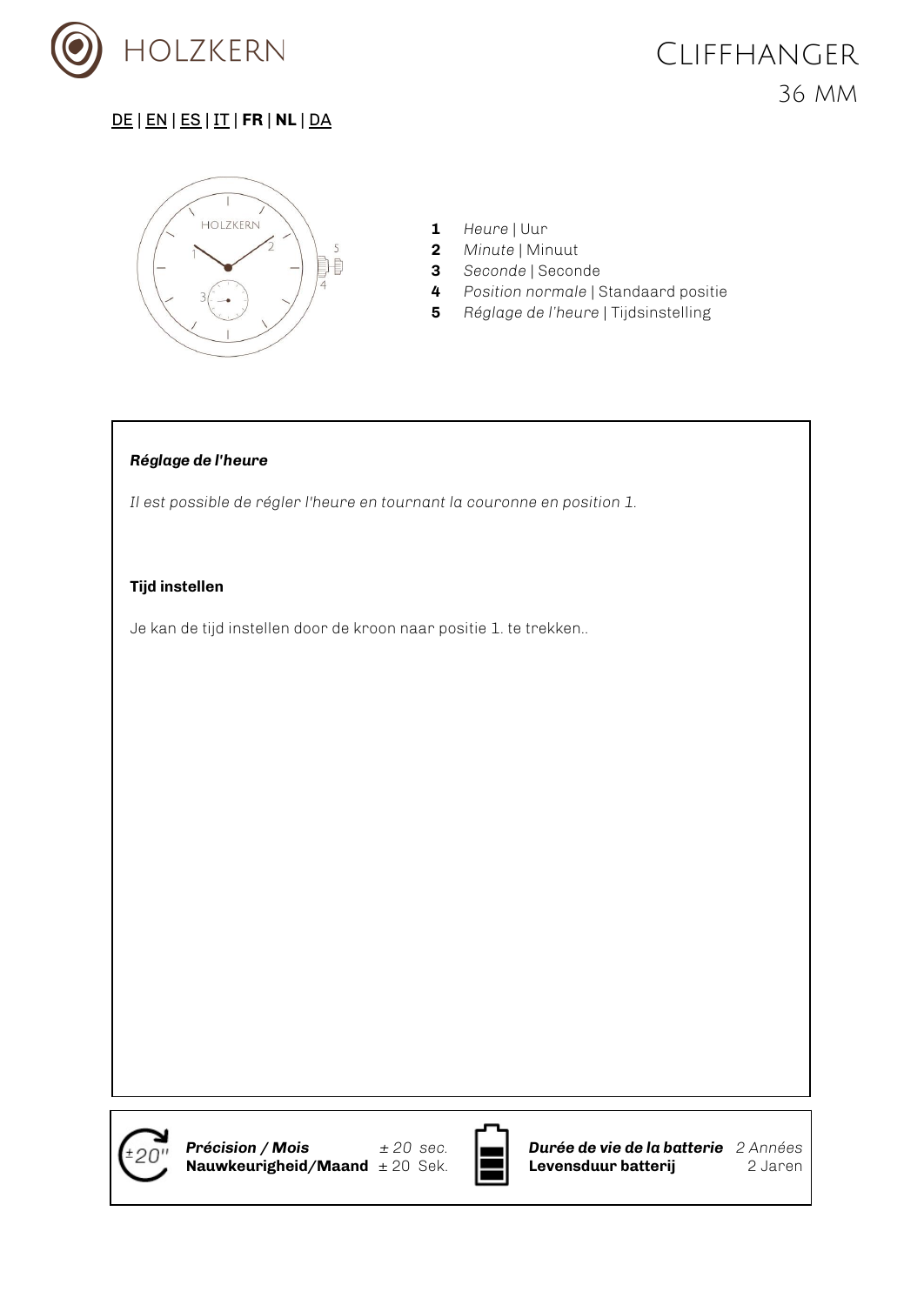

# **CLIFFHANGER** 36 MM

## DE | [EN](#page-0-0) | [ES](#page-2-0) | IT | **[FR](#page-4-0)** | **NL** | [DA](#page-6-0)



- **1** *Heure* | Uur
- **2** *Minute* | Minuut
- **3** *Seconde* | Seconde
- **4** *Position normale* | Standaard positie
- **5** *Réglage de l'heure* | Tijdsinstelling

#### *Réglage de l'heure*

*Il est possible de régler l'heure en tournant la couronne en position 1.*

#### **Tijd instellen**

Je kan de tijd instellen door de kroon naar positie 1. te trekken..



*Précision / Mois ± 20 sec.* **Nauwkeurigheid/Maand** ± 20 Sek.



*Durée de vie de la batterie 2 Années* **Levensduur batterij** 2 Jaren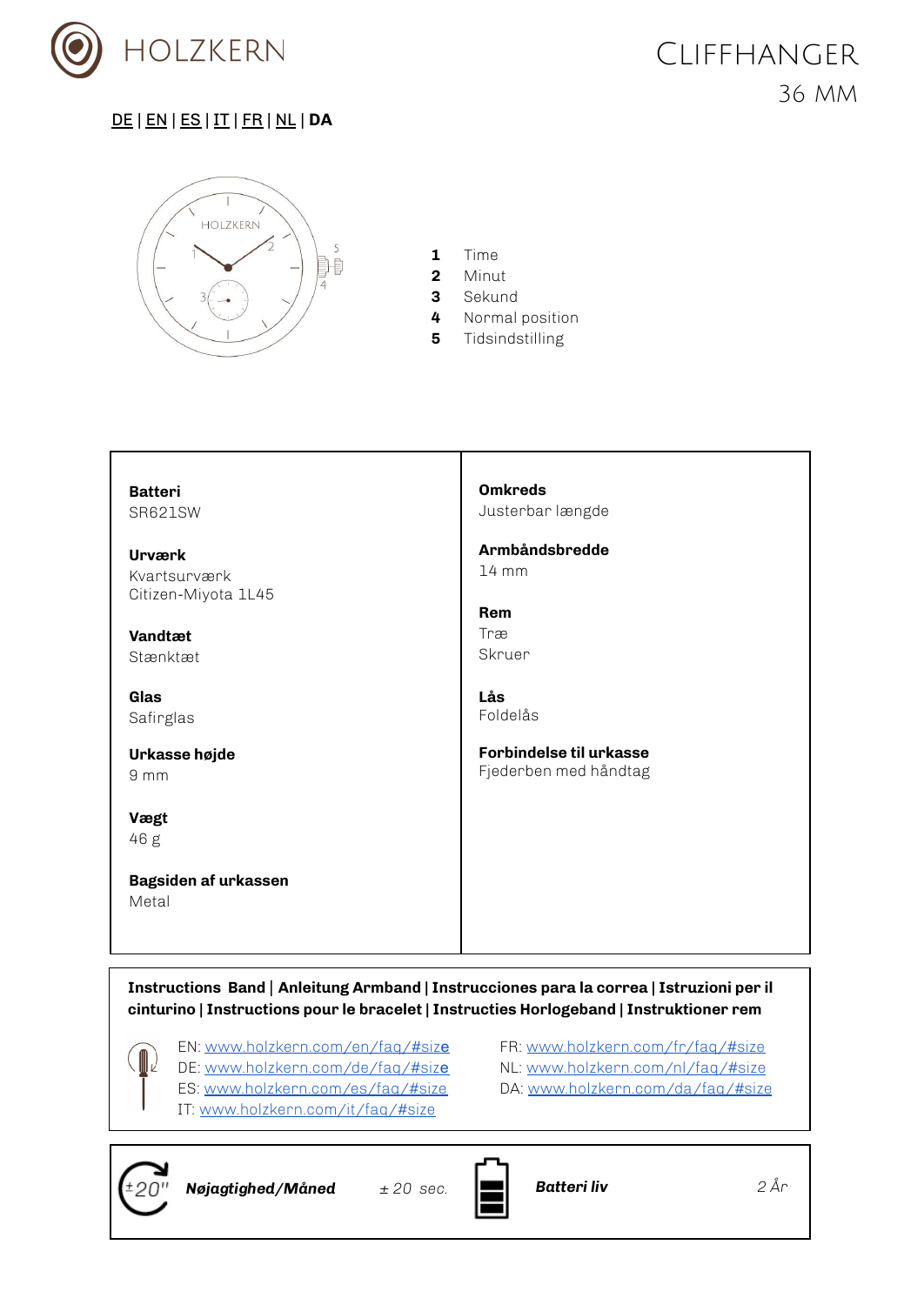

### <span id="page-6-0"></span>DE | [EN](#page-0-0) | [ES](#page-2-0) | IT | [FR](#page-4-0) | NL | **[DA](#page-6-0)**



- **1** Time
- **2** Minut
- **3** Sekund
- **4** Normal position
- **5** Tidsindstilling

| <b>Batteri</b>                                       | <b>Omkreds</b>                                   |
|------------------------------------------------------|--------------------------------------------------|
| SR621SW                                              | Justerbar længde                                 |
| <b>Urværk</b><br>Kvartsurværk<br>Citizen-Miyota 1L45 | Armbåndsbredde<br>$14 \, \text{mm}$              |
|                                                      | <b>Rem</b>                                       |
| Vandtæt                                              | Træ                                              |
| Stænktæt                                             | Skruer                                           |
| Glas<br>Safirglas                                    | Lås<br>Foldelås                                  |
| Urkasse højde<br>9 <sub>mm</sub>                     | Forbindelse til urkasse<br>Fjederben med håndtag |
| Vægt                                                 |                                                  |
| 46 g                                                 |                                                  |
|                                                      |                                                  |
| Bagsiden af urkassen<br>Metal                        |                                                  |
|                                                      |                                                  |

**Instructions Band** | **Anleitung Armband | Instrucciones para la correa | Istruzioni per il cinturino | Instructions pour le bracelet | Instructies Horlogeband | Instruktioner rem**

EN: [www.holzkern.com/en/faq/#siz](https://www.holzkern.com/en/faq/#size)e

- DE: [www.holzkern.com/de/faq/#siz](https://www.holzkern.com/faq/#size)e
- ES: [www.holzkern.com/es/faq/#size](https://www.holzkern.com/es/faq/#size)
- IT: [www.holzkern.com/it/faq/#size](https://www.holzkern.com/it/faq/#size)
- FR: [www.holzkern.com/fr/faq/#size](http://www.holzkern.com/fr/faq/#size)
- NL: [www.holzkern.com/nl/faq/#size](http://www.holzkern.com/nl/faq/#size)
- DA: [www.holzkern.com/da/faq/#size](http://www.holzkern.com/da/faq/#size)



 $\llbracket \cdot \rrbracket$ 

*Nøjagtighed/Måned*  $\pm 20$  sec. **Butteri liv 2** År